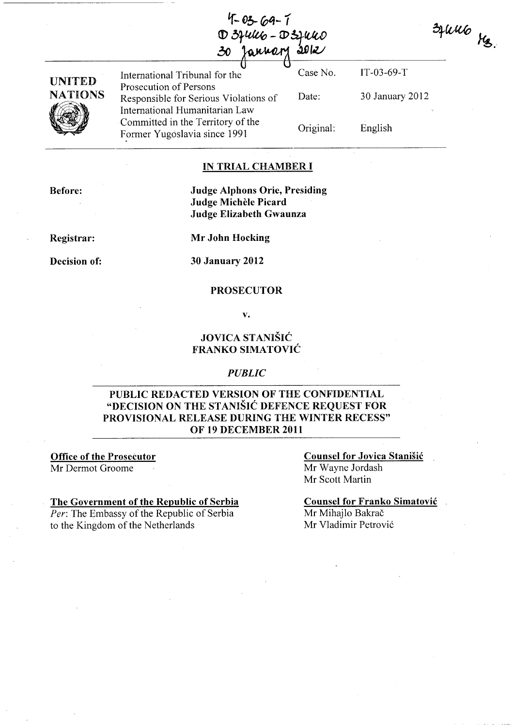$4 - 03 - 69 - 1$ D 3 pulles - D 3 pulles

| UNITED<br><b>NATIONS</b> | International Tribunal for the                                                                    | Case No.  | $IT-03-69-T$    |
|--------------------------|---------------------------------------------------------------------------------------------------|-----------|-----------------|
|                          | Prosecution of Persons<br>Responsible for Serious Violations of<br>International Humanitarian Law | Date:     | 30 January 2012 |
|                          | Committed in the Territory of the<br>Former Yugoslavia since 1991                                 | Original: | English         |

#### IN TRIAL CHAMBERI

Before:

#### Judge Alphons Orie, Presiding Judge Michèle Picard Judge Elizabeth Gwaunza

Registrar:

Decision of:

Mr John Hocking

30 January 2012

#### PROSECUTOR

v.

### JOVICA STANISIé FRANKO SIMATOVIé

#### *PUBLIC*

### PUBLIC REDACTED VERSION OF THE CONFIDENTIAL "DECISION ON THE STANIŠIĆ DEFENCE REQUEST FOR PROVISIONAL RELEASE DURING THE WINTER RECESS" OF 19 DECEMBER 2011

Office of the Proseéutor Mr Dermot Groome

The Government of the Republic of Serbia *Per:* The Embassy of the Republic of Serbia to the Kingdom of the Netherlands

Counsel for Jovica Stanisié Mr Wayne Jordash Mr Scott Martin

Counsel for Franko Simatovié Mr Mihajlo Bakrač Mr Vladimir Petrovié

 $3 \mu u \omega$   $\mu_{2}$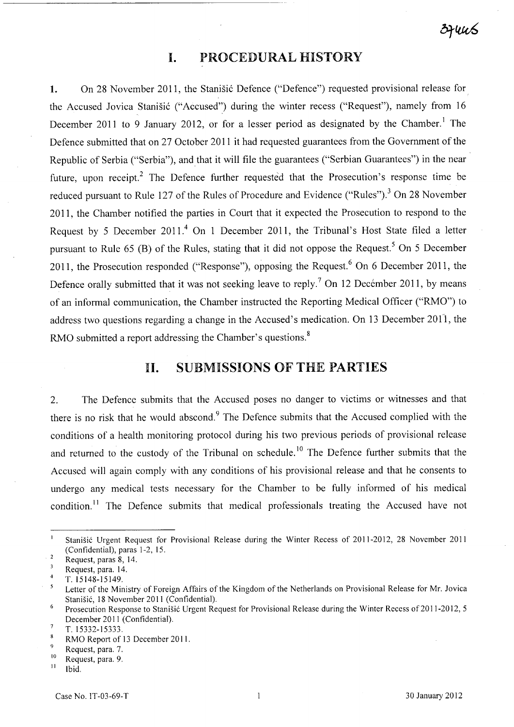### **1.** PROCEDURAL HISTORY

1. On 28 November 2011, the Stanisic Defence ("Defence") requested provisional release for the Accused Jovica Stanišić ("Accused") during the winter recess ("Request"), namely from 16 December 2011 to 9 January 2012, or for a lesser period as designated by the Chamber.<sup>1</sup> The Defence submitted that on 27 October 2011 it had requested guarantees from the Government of the Republic of Serbia ("Serbia"), and that it will file the guarantees ("Serbian Guarantees") in the near future, upon receipt.<sup>2</sup> The Defence further requested that the Prosecution's response time be reduced pursuant to Rule 127 of the Rules of Procedure and Evidence ("Rules").<sup>3</sup> On 28 November 2011, the Chamber notified the parties in Court that it expected the Prosecution to respond to the Request by 5 December 2011.<sup>4</sup> On 1 December 2011, the Tribunal's Host State filed a letter pursuant to Rule 65 (B) of the Rules, stating that it did not oppose the Request.<sup>5</sup> On 5 December 2011, the Prosecution responded ("Response"), opposing the Request.<sup>6</sup> On 6 December 2011, the Defence orally submitted that it was not seeking leave to reply.<sup>7</sup> On 12 December 2011, by means of an informaI communication, the Chamber instructed the Reporting Medical Officer ("RMO") to address two questions regarding a change in the Accused's medication. On 13 December 2011, the RMO submitted a report addressing the Chamber's questions.<sup>8</sup>

### II. SUBMISSIONS OF THE PARTIES

2. The Defence submits that the Accused poses no danger to victims or witnesses and that there is no risk that he would abscond.<sup>9</sup> The Defence submits that the Accused complied with the conditions of a health monitoring protocol during his two previous periods of provisional release and returned to the custody of the Tribunal on schedule.<sup>10</sup> The Defence further submits that the Accused will again comply with any conditions of his provisional release and that he consents to undergo any medical tests necessary for the Chamber to be fully informed of his medical condition.<sup>11</sup> The Defence submits that medical professionals treating the Accused have not

 $\mathbf{I}$ Stanisié Urgent Request for Provisional Release during the Winter Recess of 2011-2012, 28 November 2011 (Confidential), paras 1-2, 15.

 $\overline{c}$ Request, paras 8, 14.

 $\mathbf{3}$ Request, para. 14.

 $\overline{4}$ T.15148-15149.

Letter of the Ministry of Foreign Affairs of the Kingdom of the Netherlands on Provisional Release for Mr. 10vica  $\mathfrak{s}$ Stanišić, 18 November 2011 (Confidential).

<sup>6</sup>  Prosecution Response to Stanišić Urgent Request for Provisional Release during the Winter Recess of 2011-2012, 5 December 2011 (Confidential).

 $\overline{7}$ T.15332-15333.

 $\bf{8}$ RMO Report of 13 December 2011.

 $^{9}$  Request, para. 7.

 $\frac{10}{11}$  Request, para. 9.

Ibid.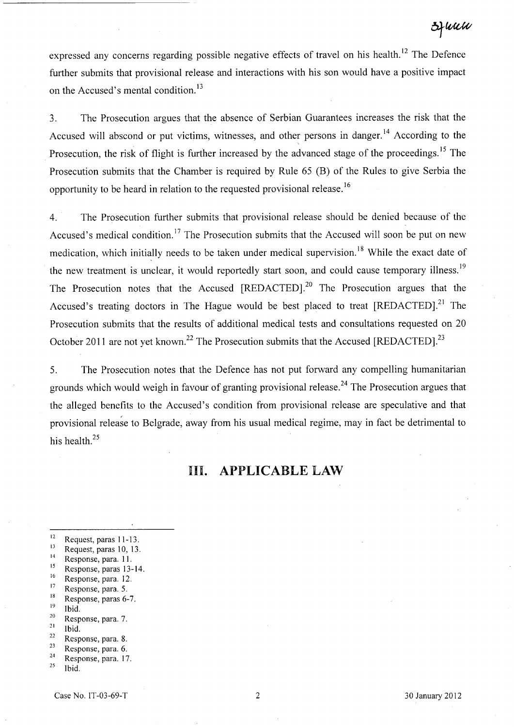expressed any concerns regarding possible negative effects of travel on his health.<sup>12</sup> The Defence further submits that provisional release and interactions with his son would have a positive impact on the Accused's mental condition.<sup>13</sup>

3. The Prosecution argues that the absence of Serbian Guarantees increases the risk that the Accused will abscond or put victims, witnesses, and other persons in danger.<sup>14</sup> According to the Prosecution, the risk of flight is further increased by the advanced stage of the proceedings.<sup>15</sup> The Prosecution submits that the Chamber is required by Rule 65 (B) of the Rules to give Serbia the opportunity to be heard in relation to the requested provisional release.<sup>16</sup>

4. The Prosecution further submits that provisional release should be denied because of the Accused's medical condition.<sup>17</sup> The Prosecution submits that the Accused will soon be put on new medication, which initially needs to be taken under medical supervision.<sup>18</sup> While the exact date of the new treatment is unclear, it would reportedly start soon, and could cause temporary illness.<sup>19</sup> The Prosecution notes that the Accused [REDACTED].<sup>20</sup> The Prosecution argues that the Accused's treating doctors in The Hague would be best placed to treat  $[REDACTED]$ <sup>21</sup>. The Prosecution submits that the results of additional medical tests and consultations requested on 20 October 2011 are not yet known.<sup>22</sup> The Prosecution submits that the Accused [REDACTED].<sup>23</sup>

5. The Prosecution notes that the Defence has not put forward any compelling humanitarian grounds which would weigh in favour of granting provisional release.<sup>24</sup> The Prosecution argues that the alleged benefits to the Accused's condition from provisional release are speculative and that provisional release to Belgrade, away from his usual medical regime, may in fact be detrimental to his health. $^{25}$ 

## **III. APPLICABLE LAW**

- $\frac{17}{18}$  Response, para. 5.
- $\frac{18}{19}$  Response, paras 6-7.
- Ibid.  $\frac{20}{21}$  Response, para. 7.
- 
- $\frac{21}{22}$  Ibid.
- $\frac{22}{23}$  Response, para. 8.  $\frac{23}{24}$  Response, para. 6.
- $\frac{24}{25}$  Response, para. 17.

 $\frac{12}{13}$  Request, paras 11-13.

 $\frac{13}{14}$  Request, paras 10, 13.

 $\frac{14}{15}$  Response, para. 11.

 $\frac{15}{16}$  Response, paras 13-14.

 $\frac{16}{17}$  Response, para. 12.

Ibid.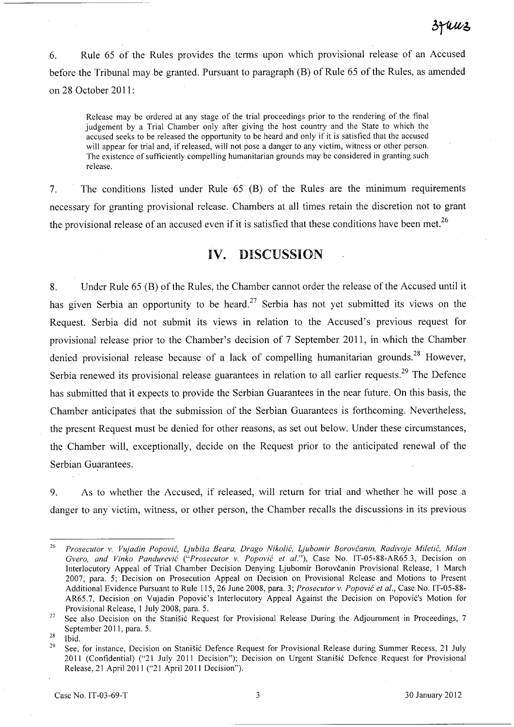6. Rule 65 of the Rules provides the terms upon which provisional release of an Accused before the Tribunal may be granted. Pursuant to paragraph (B) of Rule 65 of the Rules, as amended on 28 October 2011:

Release may be ordered at any stage of the trial proceedings prior to the rendering of the final judgement by a Trial Chamber only after giving the host country and the State to which the accused seeks to be released the opportunity to be heard and only if it is satisfied that the accused will appear for trial and, if released, will not pose a danger to any victim, witness or other person. The existence of sufficiently compelling humanitarian grounds may be considered in granting such release.

7. The conditions listed under Rule 65 (B) of the Rules are the minimum requirements necessary for granting provisional release. Chambers at aIl times retain the discretion not to grant the provisional release of an accused even if it is satisfied that these conditions have been met.<sup>26</sup>

# **IV.** DISCUSSION

8. Under Rule 65 (B) of the Rules, the Chamber cannot order the release of the Accused until it has given Serbia an opportunity to be heard.<sup>27</sup> Serbia has not yet submitted its views on the Request. Serbia did not submit its views in relation to the Accused's previous request for provisional release prior to the Chamber's decision of 7 September 2011, in which the Chamber denied provisional release because of a lack of compelling humanitarian grounds.<sup>28</sup> However, Serbia renewed its provisional release guarantees in relation to all earlier requests.<sup>29</sup> The Defence has submitted that it expects to provide the Serbian Guarantees in the near future. On this basis, the Chamber anticipates that the submission of the Serbian Guarantees is forthcoming. Nevertheless, the present Request must be denied for other reasons, as set out below. Under these circumstances, the Chamber will, exceptionally, decide on the Request prior to the anticipated renewal of the Serbian Guarantees.

9. As to whether the Accused, if released, will return for trial and whether he will pose a danger to any victim, witness, or other person, the Chamber recalls the discussions in its previous

*<sup>26</sup> Prosecutor* v. *Vujadin Popovié, Ljubisa Beara, Drago Nikolié, Ljubomir Borovcanin, Radivoje Miletié, Milan Gvero, and Vinko Pandurevié ("Prosecutor* v. *Popovié et al."),* Case No. IT-05-88-AR65.3, Decision on Interlocutory Appeal of Trial Chamber Decision Denying Ljubomir Borovcanin Provisional Release, 1 March 2007, para. 5; Decision on Prosecution Appeal on Decision on Provisional Release and Motions to Present Additional Evidence Pursuant to Rule 115,26 June 2008, para. 3; *Prosecutor* v. *Popovié et al.,* Case No. IT-05-88- AR65.7, Decision. on Vujadin Popovié's Interlocutory Appeal Against the Decision on Popovié's Motion for Provisional Release, 1 July 2008, para. 5.

<sup>&</sup>lt;sup>27</sup> See also Decision on the Stanišić Request for Provisional Release During the Adjournment in Proceedings, 7 September 2011, para. 5.

 $28$  Ibid.

<sup>&</sup>lt;sup>29</sup> See, for instance, Decision on Stanišić Defence Request for Provisional Release during Summer Recess, 21 July 2011 (Confidential) ("21 July 2011 Decision"); Decision on Urgent Stanišić Defence Request for Provisional Release, 21 April 2011 ("21 April 2011 Decision").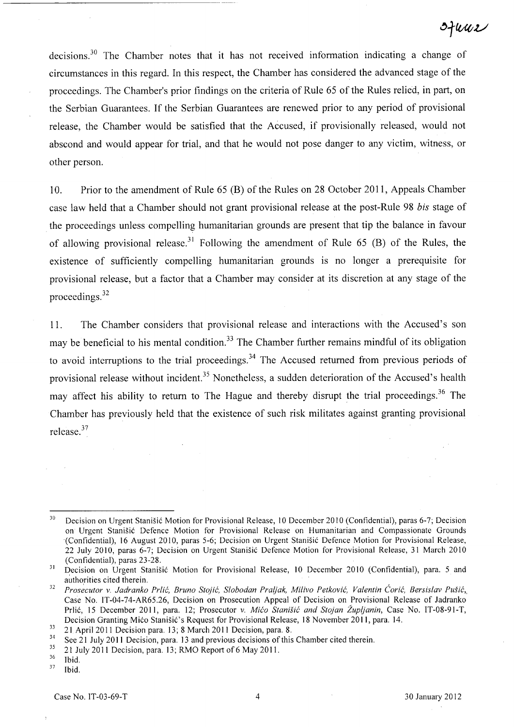ofwwe

decisions.<sup>30</sup> The Chamber notes that it has not received information indicating a change of circumstances in this regard. In this respect, the Chamber has considered the advanced stage of the proceedings. The Chamber's prior findings on the criteria of Rule 65 of the Rules relied, in part, on the Serbian Guarantees. If the Serbian Guarantees are renewed prior to any period of provisional release, the Cham ber would be satisfied that the Accused, if provisionally released, would not abscond and would appear for trial, and that he would not pose danger to any victim, witness, or other person.

10. Prior to the amendment of Rule 65 (B) of the Rules on 28 October 2011, Appeals Chamber case law held that a Chamber should not grant provisional release at the post-Rule 98 *bis* stage of the proceedings unless compelling humanitarian grounds are present that tip the balance in favour of allowing provisional release.<sup>31</sup> Following the amendment of Rule 65 (B) of the Rules, the existence of sufficiently compelling humanitarian grounds is no longer a prerequisite for provisional release, but a factor that a Chamber may consider at its discretion at any stage of the proceedings. <sup>32</sup>

11. The Chamber considers that provisional release and interactions with the Accused's son may be beneficial to his mental condition.<sup>33</sup> The Chamber further remains mindful of its obligation to avoid interruptions to the trial proceedings.<sup>34</sup> The Accused returned from previous periods of provisional release without incident.<sup>35</sup> Nonetheless, a sudden deterioration of the Accused's health may affect his ability to return to The Hague and thereby disrupt the trial proceedings.<sup>36</sup> The Chamber has previously held that the existence of such risk militates against granting provisional release. <sup>37</sup>

<sup>30</sup>  Decision on Urgent Stanisié Motion for Provisional Release, 10 December 2010 (Confidential), paras 6-7; Decision on Urgent Stanisié Defence Motion for Provisional Release on Humanitarian and Compassionate Grounds (Confidential), 16 August 2010, paras 5-6; Decision on Urgent Stanisié Defence Motion for Provisional Release, 22 July 2010, paras 6-7; Decision on Urgent Stanisié Defence Motion for Provisional Release, 31 March 2010 (Confidential), paras 23-28.

<sup>3</sup> J Decision on Urgent Stanisié Motion for Provisional Release, 10 December 2010 (Confidential), para. 5 and authorities cited therein.

<sup>&</sup>lt;sup>32</sup> Prosecutor v. Jadranko Prlić, Bruno Stojić, Slobodan Praljak, Milivo Petković, Valentin Ćorić, Bersislav Pušić, Case No. IT-04-74-AR65.26, Decision on Prosecution Appeal of Decision on Provisional Release of Jadranko Prlié, 15 December 2011, para. 12; Prosecutor v. *Miéo Stanisié and Stojan Zupljanin,* Case No. IT-08-91-T, Decision Granting Mićo Stanišić's Request for Provisional Release, 18 November 2011, para. 14.

 $\frac{33}{21}$  21 April 2011 Decision para. 13; 8 March 2011 Decision, para. 8.<br> $\frac{34}{2}$  See 21 July 2011 Decision, para. 12 and previous decisions of this

 $34$  See 21 July 2011 Decision, para. 13 and previous decisions of this Chamber cited therein.<br> $35$  21 July 2011 Decision, para. 13: RMO Report of 6 May 2011

 $\frac{35}{36}$  21 July 2011 Decision, para. 13; RMO Report of 6 May 2011.

 $rac{36}{37}$  Ibid.

Ibid.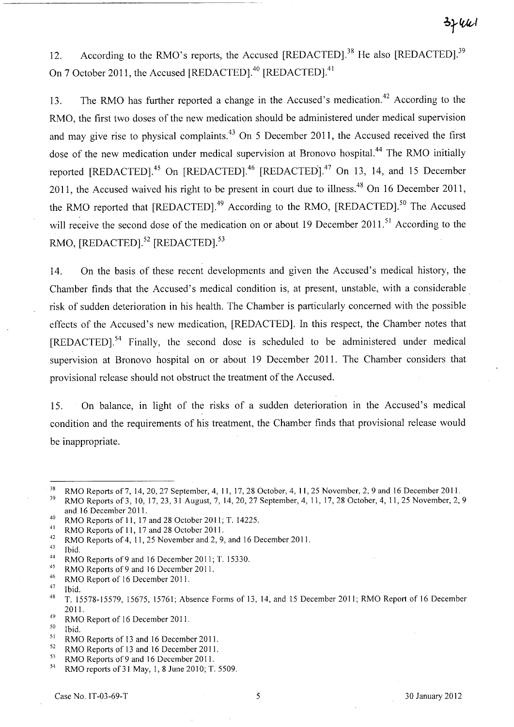12. According to the RMO's reports, the Accused [REDACTED].<sup>38</sup> He also [REDACTED].<sup>39</sup> On 7 October 2011, the Accused [REDACTED].<sup>40</sup> [REDACTED].<sup>41</sup>

13. The RMO has further reported a change in the Accused's medication.<sup>42</sup> According to the RMO, the first two doses of the new medication should be administered under medical supervision and may give rise to physical complaints.<sup>43</sup> On 5 December 2011, the Accused received the first dose of the new medication under medical supervision at Bronovo hospital.<sup>44</sup> The RMO initially reported [REDACTED].<sup>45</sup> On [REDACTED].<sup>46</sup> [REDACTED].<sup>47</sup> On 13, 14, and 15 December 2011, the Accused waived his right to be present in court due to illness.<sup>48</sup> On 16 December 2011, the RMO reported that [REDACTED].<sup>49</sup> According to the RMO, [REDACTED].<sup>50</sup> The Accused will receive the second dose of the medication on or about 19 December 2011.<sup>51</sup> According to the RMO, [REDACTED].<sup>52</sup> [REDACTED].<sup>53</sup>

14. On the basis of these recent developments and given the Accused's medical history, the Chamber finds that the Accused's medical condition is, at present, unstable, with a considerable risk of sudden deterioration in his health. The Chamber is particularly concemed with the possible effects of the Accused's new medication, [REDACTED]. In this respect, the Chamber notes that [REDACTED].54 Finally, the second dose is scheduled to be administered under medical supervision at Bronovo hospital on or about 19 December 2011. The Chamber considers that provisional release should not obstruct the treatment of the Accused.

15. On balance, in light of the risks of a sudden deterioration in the Accused's medical condition and the requirements of his treatment, the Chamber finds that provisional release would be inappropriate.

<sup>42</sup> RMO Reports of 4, 11, 25 November and 2, 9, and 16 December 2011.

<sup>52</sup> RMO Reports of 13 and 16 December 2011.<br><sup>53</sup> BMO Benewts of 0 and 16 December 2011.

<sup>&</sup>lt;sup>38</sup> RMO Reports of 7, 14, 20, 27 September, 4, 11, 17, 28 October, 4, 11, 25 November, 2, 9 and 16 December 2011. RMO Reports of 3, 10, 17, 23, 31 August, 7, 14, 20, 27 September, 4, 11, 17, 28 October, 4, 11, 25 November, 2, 9 and 16 December 2011.

<sup>40</sup> RMO Reports of 11, 17 and 28 October 2011; T. 14225.

<sup>&</sup>lt;sup>41</sup> RMO Reports of 11, 17 and 28 October 2011.

Ibid.

<sup>&</sup>lt;sup>44</sup> RMO Reports of 9 and 16 December 2011; T. 15330.

<sup>&</sup>lt;sup>45</sup> RMO Reports of 9 and 16 December 2011.<br><sup>46</sup> PMO Report of 16 December 2011.

 $^{46}$  RMO Report of 16 December 2011.

Ibid.

<sup>48</sup> T. 15578-15579, 15675, 15761; Absence Forms of 13,14, and 15 December 2011; RMO Report of 16 December 2011.

 $^{49}$  RMO Report of 16 December 2011.

Ibid.

<sup>&</sup>lt;sup>51</sup> RMO Reports of 13 and 16 December 2011.<br> $52 \text{ PMO}$  Reports of 13 and 16 December 2011.

<sup>&</sup>lt;sup>53</sup> RMO Reports of 9 and 16 December 2011.<br><sup>54</sup> RMO reports of 31 May 1.8 June 2010: T

<sup>54</sup> RMO reports of 31 May, l, 8 June 2010; T. 5509.